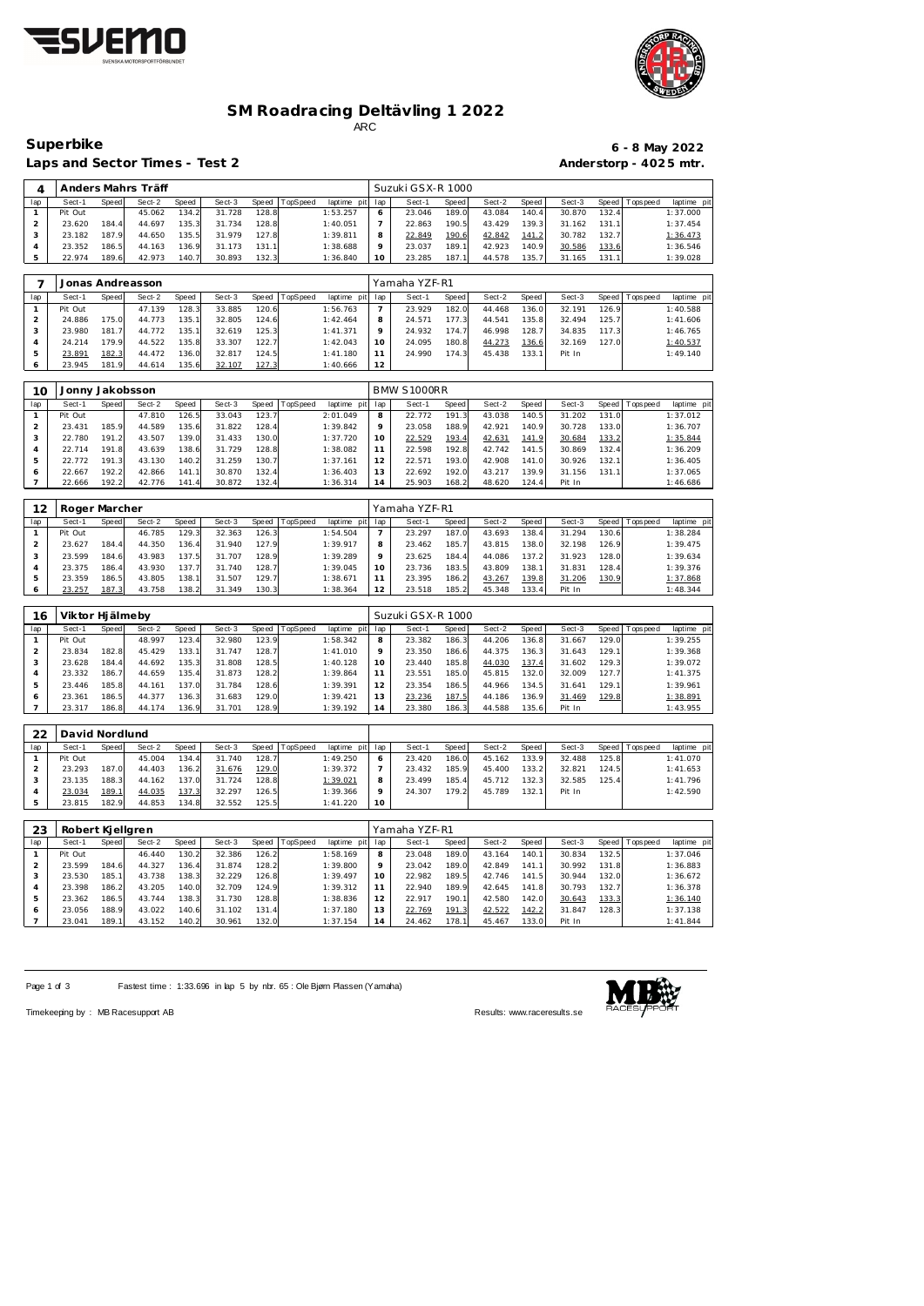



### **SM Roadracing Deltävling 1 2022** ARC

Laps and Sector Times - Test 2 **Anderstorp - 4025 mtr.** 

## **Superbike 6 - 8 May 2022**

| 4   |         |       | Anders Mahrs Träff |       |        |       |          |                 | Suzuki GSX-R 1000 |       |        |        |        |       |                   |             |
|-----|---------|-------|--------------------|-------|--------|-------|----------|-----------------|-------------------|-------|--------|--------|--------|-------|-------------------|-------------|
| lap | Sect-1  | Speed | Sect-2             | Speed | Sect-3 | Speed | TopSpeed | laptime pit lap | Sect-1            | Speed | Sect-2 | Speed  | Sect-3 |       | Speed   Tops peed | laptime pit |
|     | Pit Out |       | 45.062             | 134.2 | 31.728 | 128.8 |          | 1:53.257        | 23.046            | 189.0 | 43.084 | 140.4  | 30.870 | 132.4 |                   | 1:37.000    |
|     | 23.620  | 184.4 | 44.697             | 135.3 | 31.734 | 128.8 |          | 1:40.051        | 22.863            | 190.5 | 43.429 | 139.31 | 31.162 | 131.1 |                   | 1:37.454    |
|     | 23.182  | 187.9 | 44.650             | 135.5 | 31.979 | 127.8 |          | 1:39.811        | 22.849            | 190.6 | 42.842 | 141.2  | 30.782 | 132.7 |                   | 1:36.473    |
|     | 23.352  | 186.5 | 44.163             | 136.9 | 31.173 | 131.1 |          | 1:38.688        | 23.037            | 189.1 | 42.923 | 140.9  | 30.586 | 133.6 |                   | 1:36.546    |
|     | 22.974  | 189.6 | 42.973             | 140.7 | 30.893 | 132.3 |          | 1:36.840        | 23.285            | 187.1 | 44.578 | 135.7  | 31.165 | 131.1 |                   | 1:39.028    |

|     |         |       | Jonas Andreasson |       |        |       |          |                 |     | Yamaha YZF-R1 |              |        |       |        |       |                 |             |
|-----|---------|-------|------------------|-------|--------|-------|----------|-----------------|-----|---------------|--------------|--------|-------|--------|-------|-----------------|-------------|
| lap | Sect-1  | Speed | Sect-2           | Speed | Sect-3 | Speed | TopSpeed | laptime pit lap |     | Sect-1        | <b>Speed</b> | Sect-2 | Speed | Sect-3 |       | Speed Tops peed | laptime pit |
|     | Pit Out |       | 47.139           | 128.3 | 33.885 | 120.6 |          | 1:56.763        |     | 23.929        | 182.0        | 44.468 | 136.0 | 32.191 | 126.9 |                 | 1:40.588    |
|     | 24.886  | 175.0 | 44.773           | 135.1 | 32.805 | 124.6 |          | 1:42.464        |     | 24.571        | 177.3        | 44.541 | 135.8 | 32.494 | 125.7 |                 | 1:41.606    |
|     | 23.980  | 181.7 | 44.772           | 135.1 | 32.619 | 125.3 |          | 1:41.371        |     | 24.932        | 174.7        | 46.998 | 128.7 | 34.835 | 117.3 |                 | 1:46.765    |
|     | 24.214  | 179.9 | 44.522           | 135.8 | 33.307 | 122.7 |          | 1:42.043        | 1 O | 24.095        | 180.8        | 44.273 | 136.6 | 32.169 | 127.0 |                 | 1:40.537    |
|     | 23.891  | 182.3 | 44.472           | 136.0 | 32.817 | 124.5 |          | 1:41.180        |     | 24.990        | 174.3        | 45.438 | 133.1 | Pit In |       |                 | 1:49.140    |
|     | 23.945  | 181.9 | 44.614           | 135.6 | 32.107 | 127.3 |          | 1:40.666        | 12  |               |              |        |       |        |       |                 |             |

| 10  | Jonny Jakobsson |       |        |       |        |       |          |                |         | BMW S1000RR |              |        |       |        |       |                 |             |
|-----|-----------------|-------|--------|-------|--------|-------|----------|----------------|---------|-------------|--------------|--------|-------|--------|-------|-----------------|-------------|
| lap | Sect-1          | Speed | Sect-2 | Speed | Sect-3 | Speed | TopSpeed | laptime<br>pit | lap     | Sect-1      | <b>Speed</b> | Sect-2 | Speed | Sect-3 |       | Speed Tops peed | laptime pit |
|     | Pit Out         |       | 47.810 | 126.5 | 33.043 | 123.7 |          | 2:01.049       | 8       | 22.772      | 191.3        | 43.038 | 140.5 | 31.202 | 131.0 |                 | 1:37.012    |
|     | 23.431          | 185.9 | 44.589 | 135.6 | 31.822 | 128.4 |          | 1:39.842       | $\circ$ | 23.058      | 188.9        | 42.921 | 140.9 | 30.728 | 133.0 |                 | 1:36.707    |
|     | 22.780          | 191.2 | 43.507 | 139.0 | 31.433 | 130.0 |          | 1:37.720       | 10      | 22.529      | 193.4        | 42.631 | 141.9 | 30.684 | 133.2 |                 | 1:35.844    |
|     | 22.714          | 191.8 | 43.639 | 138.6 | 31.729 | 128.8 |          | 1:38.082       |         | 22.598      | 192.8        | 42.742 | 141.5 | 30.869 | 132.4 |                 | 1:36.209    |
|     | 22.772          | 191.3 | 43.130 | 140.2 | 31.259 | 130.7 |          | 1:37.161       |         | 22.571      | 193.0        | 42.908 | 141.0 | 30.926 | 132.1 |                 | 1:36.405    |
| O   | 22.667          | 192.2 | 42.866 | 141.1 | 30.870 | 132.4 |          | 1:36.403       | 13      | 22.692      | 192.0        | 43.217 | 139.9 | 31.156 | 131.1 |                 | 1:37.065    |
|     | 22.666          | 192.2 | 42.776 | 141.4 | 30.872 | 132.4 |          | 1:36.314       | 14      | 25.903      | 168.2        | 48.620 | 124.4 | Pit In |       |                 | 1:46.686    |

| 12  | Roger Marcher |       |        |       |        |       |          |                 |         | Yamaha YZF-R1 |       |        |       |        |       |                   |             |
|-----|---------------|-------|--------|-------|--------|-------|----------|-----------------|---------|---------------|-------|--------|-------|--------|-------|-------------------|-------------|
| lap | Sect-1        | Speed | Sect-2 | Speed | Sect-3 | Speed | TopSpeed | laptime pit lap |         | Sect-1        | Speed | Sect-2 | Speed | Sect-3 |       | Speed   Tops peed | laptime pit |
|     | Pit Out       |       | 46.785 | 129.3 | 32.363 | 126.3 |          | 1:54.504        |         | 23.297        | 187.0 | 43.693 | 138.4 | 31.294 | 130.6 |                   | 1:38.284    |
|     | 23.627        | 184.4 | 44.350 | 136.4 | 31.940 | 127.9 |          | 1:39.917        | 8       | 23.462        | 185.7 | 43.815 | 138.0 | 32.198 | 126.9 |                   | 1:39.475    |
|     | 23.599        | 184.6 | 43.983 | 137.5 | 31.707 | 128.9 |          | 1:39.289        | $\circ$ | 23.625        | 184.4 | 44.086 | 137.2 | 31.923 | 128.0 |                   | 1:39.634    |
|     | 23.375        | 186.4 | 43.930 | 137.7 | 31.740 | 128.7 |          | 1:39.045        | 10      | 23.736        | 183.5 | 43.809 | 138.1 | 31.831 | 128.4 |                   | 1:39.376    |
| 5   | 23.359        | 186.5 | 43.805 | 138.  | 31.507 | 129.7 |          | 1:38.671        |         | 23.395        | 186.2 | 43.267 | 139.8 | 31.206 | 130.9 |                   | 1:37.868    |
|     | 23.257        | 187.3 | 43.758 | 138.2 | 31.349 | 130.3 |          | 1:38.364        | 12      | 23.518        | 185.2 | 45.348 | 133.4 | Pit In |       |                   | 1:48.344    |

| 16  | Viktor Hi älmeby |       |        |       |        |       |                |             |         | Suzuki GSX-R 1000 |       |        |       |        |       |                 |             |
|-----|------------------|-------|--------|-------|--------|-------|----------------|-------------|---------|-------------------|-------|--------|-------|--------|-------|-----------------|-------------|
| lap | Sect-1           | Speed | Sect-2 | Speed | Sect-3 |       | Speed TopSpeed | laptime pit | lap     | Sect-1            | Speed | Sect-2 | Speed | Sect-3 |       | Speed Tops peed | laptime pit |
|     | Pit Out          |       | 48.997 | 123.4 | 32.980 | 123.9 |                | 1:58.342    | 8       | 23.382            | 186.3 | 44.206 | 136.8 | 31.667 | 129.0 |                 | 1:39.255    |
|     | 23.834           | 182.8 | 45.429 | 133.1 | 31.747 | 128.7 |                | 1:41.010    | $\circ$ | 23.350            | 186.6 | 44.375 | 136.3 | 31.643 | 129.1 |                 | 1:39.368    |
|     | 23.628           | 184.4 | 44.692 | 135.3 | 31.808 | 128.5 |                | 1:40.128    |         | 23.440            | 185.8 | 44.030 | 137.4 | 31.602 | 129.3 |                 | 1:39.072    |
|     | 23.332           | 186.7 | 44.659 | 135.4 | 31.873 | 128.2 |                | 1:39.864    |         | 23.551            | 185.C | 45.815 | 132.0 | 32.009 | 127.7 |                 | 1:41.375    |
|     | 23.446           | 185.8 | 44.161 | 137.0 | 31.784 | 128.6 |                | 1:39.391    |         | 23.354            | 186.5 | 44.966 | 134.5 | 31.641 | 129.1 |                 | 1:39.961    |
|     | 23.361           | 186.5 | 44.377 | 136.3 | 31.683 | 129.0 |                | 1:39.421    | 13      | 23.236            | 187.5 | 44.186 | 136.9 | 31.469 | 129.8 |                 | 1:38.891    |
|     | 23.317           | 186.8 | 44.174 | 136.9 | 31.701 | 128.9 |                | 1:39.192    | 14      | 23.380            | 186.3 | 44.588 | 135.6 | Pit In |       |                 | 1:43.955    |

| 22  | David Nordlund |       |        |       |        |       |                  |             |         |        |       |        |        |        |        |                   |             |
|-----|----------------|-------|--------|-------|--------|-------|------------------|-------------|---------|--------|-------|--------|--------|--------|--------|-------------------|-------------|
| lap | Sect-1         | Speed | Sect-2 | Speed | Sect-3 |       | Speed   TopSpeed | laptime pit | lap     | Sect-1 | Speed | Sect-2 | Speed  | Sect-3 |        | Speed   Tops peed | laptime pit |
|     | Pit Out        |       | 45.004 | 134.4 | 31.740 | 128.7 |                  | 1:49.250    | 6       | 23.420 | 186.0 | 45.162 | 133.9  | 32.488 | 125.81 |                   | 1:41.070    |
|     | 23.293         | 187.0 | 44.403 | 136.2 | 31.676 | 129.0 |                  | 1:39.372    |         | 23.432 | 185.9 | 45.400 | 133.2  | 32.821 | 124.5  |                   | 1:41.653    |
|     | 23.135         | 188.3 | 44.162 | 137.0 | 31.724 | 128.8 |                  | 1:39.021    | 8       | 23.499 | 185.4 | 45.712 | 132.31 | 32.585 | 125.4  |                   | 1:41.796    |
|     | 23.034         | 189.1 | 44.035 | 137.3 | 32.297 | 126.5 |                  | 1:39.366    | $\circ$ | 24.307 | 179.2 | 45.789 | 132.1  | Pit In |        |                   | 1:42.590    |
|     | 23.815         | 182.9 | 44.853 | 134.8 | 32.552 | 125.5 |                  | 1:41.220    | 10      |        |       |        |        |        |        |                   |             |

| 23  | Robert Kjellgren |              |        |       |        |       |          |                |                | Yamaha YZF-R1 |       |        |       |        |       |                   |             |
|-----|------------------|--------------|--------|-------|--------|-------|----------|----------------|----------------|---------------|-------|--------|-------|--------|-------|-------------------|-------------|
| lap | Sect-1           | <b>Speed</b> | Sect-2 | Speed | Sect-3 | Speed | TopSpeed | laptime<br>pit | lap            | Sect-1        | Speed | Sect-2 | Speed | Sect-3 |       | Speed   Tops peed | laptime pit |
|     | Pit Out          |              | 46.440 | 130.2 | 32.386 | 126.2 |          | 1:58.169       | 8              | 23.048        | 189.0 | 43.164 | 140.1 | 30.834 | 132.5 |                   | 1:37.046    |
|     | 23.599           | 184.6        | 44.327 | 136.4 | 31.874 | 128.2 |          | 1:39.800       | $\circ$        | 23.042        | 189.0 | 42.849 | 141.1 | 30.992 | 131.8 |                   | 1:36.883    |
|     | 23.530           | 185.1        | 43.738 | 138.3 | 32.229 | 126.8 |          | 1:39.497       | 10             | 22.982        | 189.5 | 42.746 | 141.5 | 30.944 | 132.0 |                   | 1:36.672    |
|     | 23.398           | 186.2        | 43.205 | 140.0 | 32.709 | 124.9 |          | 1:39.312       |                | 22.940        | 189.9 | 42.645 | 141.8 | 30.793 | 132.7 |                   | 1:36.378    |
| 5   | 23.362           | 186.5        | 43.744 | 138.3 | 31.730 | 128.8 |          | 1:38.836       | 12             | 22.917        | 190.1 | 42.580 | 142.0 | 30.643 | 133.3 |                   | 1:36.140    |
| O   | 23.056           | 188.9        | 43.022 | 140.6 | 31.102 | 131.4 |          | 1:37.180       | 13             | 22.769        | 191.3 | 42.522 | 142.2 | 31.847 | 128.3 |                   | 1:37.138    |
|     | 23.041           | 189.1        | 43.152 | 140.2 | 30.961 | 132.0 |          | 1:37.154       | $\overline{4}$ | 24.462        | 178.1 | 45.467 | 133.0 | Pit In |       |                   | 1:41.844    |

Page 1 of 3 Fastest time : 1:33.696 in lap 5 by nbr. 65 : Ole Bjørn Plassen (Yamaha)



Timekeeping by : MB Racesupport AB Results:<www.raceresults.se>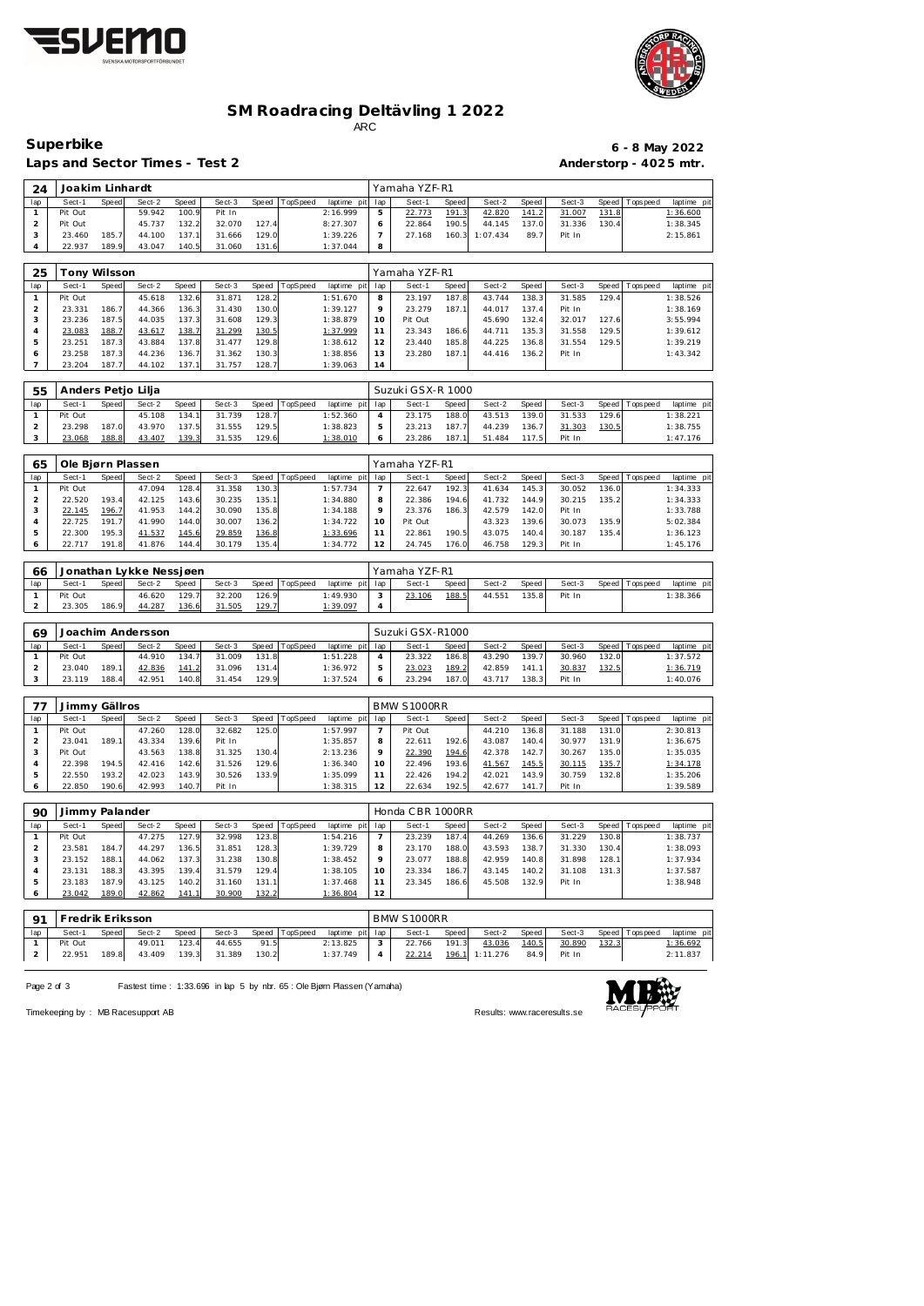



#### **SM Roadracing Deltävling 1 2022** ARC

lap Sect-1 Speed Sect-2 Speed Sect-3 Speed TopSpeed laptime pit lap Sect-1 Speed Sect-2 Speed Sect-3 Speed Topspeed laptime pit

Laps and Sector Times - Test 2 **Anderstorp - 4025 mtr.** 

Joakim Linhardt Yamaha YZF-R1

### **Superbike 6 - 8 May 2022**

| 1                              | Pit Out            |                | 59.942                            | 100.9          | Pit In           |                |          | 2:16.999             | 5              | <u>22.773</u>           | 191.3          | 42.820             | 141.2          | 31.007                      | 131.8 |             | 1:36.600             |
|--------------------------------|--------------------|----------------|-----------------------------------|----------------|------------------|----------------|----------|----------------------|----------------|-------------------------|----------------|--------------------|----------------|-----------------------------|-------|-------------|----------------------|
| $\overline{c}$                 | Pit Out            |                | 45.737                            | 132.2          | 32.070           | 127.4          |          | 8:27.307             | 6              | 22.864                  | 190.5          | 44.145             | 137.0          | 31.336                      | 130.4 |             | 1:38.345             |
| 3                              | 23.460             | 185.7          | 44.100                            | 137.1          | 31.666           | 129.0          |          | 1:39.226             | $\overline{7}$ | 27.168                  | 160.3          | 1:07.434           | 89.7           | Pit In                      |       |             | 2:15.861             |
| 4                              | 22.937             | 189.9          | 43.047                            | 140.5          | 31.060           | 131.6          |          | 1:37.044             | 8              |                         |                |                    |                |                             |       |             |                      |
|                                |                    |                |                                   |                |                  |                |          |                      |                |                         |                |                    |                |                             |       |             |                      |
| 25                             | Tony Wilsson       |                |                                   |                |                  |                |          |                      |                | Yamaha YZF-R1           |                |                    |                |                             |       |             |                      |
| lap                            | Sect-1             | Speed          | Sect-2                            | Speed          | Sect-3           | Speed          | TopSpeed | laptime pit          | lap            | Sect-1                  | Speed          | Sect-2             | Speed          | Sect-3                      | Speed | T ops peed  | laptime pit          |
| $\mathbf{1}$                   | Pit Out            |                | 45.618                            | 132.6          | 31.871           | 128.2          |          | 1:51.670             | 8              | 23.197                  | 187.8          | 43.744             | 138.3          | 31.585                      | 129.4 |             | 1:38.526             |
| $\overline{c}$                 | 23.331             | 186.7          | 44.366                            | 136.3          | 31.430           | 130.0          |          | 1:39.127             | 9              | 23.279                  | 187.1          | 44.017             | 137.4          | Pit In                      |       |             | 1:38.169             |
| 3                              | 23.236             | 187.5          | 44.035                            | 137.3          | 31.608           | 129.3          |          | 1:38.879             | 10             | Pit Out                 |                | 45.690             | 132.4          | 32.017                      | 127.6 |             | 3:55.994             |
| 4                              | 23.083             | 188.7          | 43.617                            | 138.7          | 31.299           | 130.5          |          | 1:37.999             | 11             | 23.343                  | 186.6          | 44.711             | 135.3          | 31.558                      | 129.5 |             | 1:39.612             |
| 5                              | 23.251             | 187.3          | 43.884                            | 137.8          | 31.477           | 129.8          |          | 1:38.612             | 12             | 23.440                  | 185.8          | 44.225             | 136.8          | 31.554                      | 129.5 |             | 1:39.219             |
| 6                              | 23.258             | 187.3          | 44.236                            | 136.7          | 31.362           | 130.3          |          | 1:38.856             | 13             | 23.280                  | 187.1          | 44.416             | 136.2          | Pit In                      |       |             | 1:43.342             |
| $\overline{7}$                 | 23.204             | 187.7          | 44.102                            | 137.1          | 31.757           | 128.7          |          | 1:39.063             | 14             |                         |                |                    |                |                             |       |             |                      |
|                                |                    |                |                                   |                |                  |                |          |                      |                |                         |                |                    |                |                             |       |             |                      |
| 55                             | Anders Petio Lilia |                |                                   |                |                  |                |          |                      |                | Suzuki GSX-R 1000       |                |                    |                |                             |       |             |                      |
| lap                            | Sect-1             | Speed          | Sect-2                            | Speed          | Sect-3           | Speed          | TopSpeed | laptime pit          | lap            | Sect-1                  | Speed          | Sect-2             | Speed          | Sect-3                      | Speed | T ops pee d | laptime pit          |
| $\mathbf{1}$                   | Pit Out            |                | 45.108                            | 134.1          | 31.739           | 128.7          |          | 1:52.360             | $\overline{4}$ | 23.175                  | 188.0          | 43.513             | 139.0          | 31.533                      | 129.6 |             | 1:38.221             |
| $\mathbf 2$                    | 23.298             | 187.0          | 43.970                            | 137.5          | 31.555           | 129.5          |          | 1:38.823             | 5              | 23.213                  | 187.7          | 44.239             | 136.7          | 31.303                      | 130.5 |             | 1:38.755             |
| 3                              | 23.068             | 188.8          | 43.407                            | 139.3          | 31.535           | 129.6          |          | 1:38.010             | 6              | 23.286                  | 187.1          | 51.484             | 117.5          | Pit In                      |       |             | 1:47.176             |
|                                |                    |                |                                   |                |                  |                |          |                      |                |                         |                |                    |                |                             |       |             |                      |
| 65                             | Ole Bjørn Plassen  |                |                                   |                |                  |                |          |                      |                | Yamaha YZF-R1           |                |                    |                |                             |       |             |                      |
| lap                            | Sect-1             | Speed          | Sect-2                            | Speed          | Sect-3           | Speed          | TopSpeed | laptime pit          | lap            | Sect-1                  | Speed          | Sect-2             | Speed          | Sect-3                      | Speed | Tops peed   | laptime pit          |
| $\mathbf{1}$                   | Pit Out            |                | 47.094                            | 128.4          | 31.358           | 130.3          |          | 1:57.734             | $\overline{7}$ | 22.647                  | 192.3          | 41.634             | 145.3          | 30.052                      | 136.0 |             | 1:34.333             |
| $\overline{c}$                 | 22.520             | 193.4          | 42.125                            | 143.6          | 30.235           | 135.1          |          | 1:34.880             | 8              | 22.386                  | 194.6          | 41.732             | 144.9          | 30.215                      | 135.2 |             | 1:34.333             |
| 3                              | 22.145             | 196.7          | 41.953                            | 144.2          | 30.090           | 135.8          |          | 1:34.188             | 9              | 23.376                  | 186.3          | 42.579             | 142.0          | Pit In                      |       |             | 1:33.788             |
| 4                              | 22.725             | 191.7          | 41.990                            | 144.0          | 30.007           | 136.2          |          | 1:34.722             | 10             | Pit Out                 |                | 43.323             | 139.6          | 30.073                      | 135.9 |             | 5:02.384             |
| 5                              | 22.300<br>22.717   | 195.3<br>191.8 | 41.537                            | 145.6          | 29.859           | 136.8<br>135.4 |          | 1:33.696             | 11             | 22.861                  | 190.5          | 43.075             | 140.4<br>129.3 | 30.187                      | 135.4 |             | 1:36.123             |
| 6                              |                    |                | 41.876                            | 144.4          | 30.179           |                |          | 1:34.772             | 12             | 24.745                  | 176.0          | 46.758             |                | Pit In                      |       |             | 1:45.176             |
|                                |                    |                |                                   |                |                  |                |          |                      |                |                         |                |                    |                |                             |       |             |                      |
| 66<br>lap                      | Sect-1             | Speed          | Jonathan Lykke Nessjøen<br>Sect-2 | Speed          | Sect-3           | Speed          | TopSpeed | laptime pit          | lap            | Yamaha YZF-R1<br>Sect-1 | Speed          | Sect-2             | Speed          | Sect-3                      | Speed | Tops peed   | laptime pi           |
| $\mathbf{1}$                   | Pit Out            |                | 46.620                            | 129.7          | 32.200           | 126.9          |          | 1:49.930             | 3              | 23.106                  | 188.5          | 44.551             | 135.8          | Pit In                      |       |             | 1:38.366             |
| $\overline{a}$                 | 23.305             | 186.9          | 44.287                            | 136.6          | 31.505           | 129.7          |          | 1:39.097             | 4              |                         |                |                    |                |                             |       |             |                      |
|                                |                    |                |                                   |                |                  |                |          |                      |                |                         |                |                    |                |                             |       |             |                      |
| 69                             |                    |                | Joachim Andersson                 |                |                  |                |          |                      |                | Suzuki GSX-R1000        |                |                    |                |                             |       |             |                      |
| lap                            | Sect-1             | Speed          | Sect-2                            | Speed          | Sect-3           | Speed          | TopSpeed | laptime pit          | lap            | Sect-1                  | Speed          | Sect-2             | Speed          | Sect-3                      | Speed | T ops pee d | laptime pit          |
| $\mathbf{1}$                   | Pit Out            |                | 44.910                            | 134.7          | 31.009           | 131.8          |          | 1:51.228             | 4              | 23.322                  | 186.8          | 43.290             | 139.7          | 30.960                      | 132.0 |             | 1:37.572             |
| $\mathbf 2$                    | 23.040             | 189.1          | 42.836                            | 141.2          | 31.096           | 131.4          |          | 1:36.972             | 5              | 23.023                  | 189.2          | 42.859             | 141.1          | 30.837                      | 132.5 |             | 1:36.719             |
| 3                              | 23.119             | 188.4          | 42.951                            | 140.8          | 31.454           | 129.9          |          | 1:37.524             | 6              | 23.294                  | 187.0          | 43.717             | 138.3          | Pit In                      |       |             | 1:40.076             |
|                                |                    |                |                                   |                |                  |                |          |                      |                |                         |                |                    |                |                             |       |             |                      |
| 77                             | Jimmy Gällros      |                |                                   |                |                  |                |          |                      |                | <b>BMW S1000RR</b>      |                |                    |                |                             |       |             |                      |
| lap                            | Sect-1             | Speed          | Sect-2                            | Speed          | Sect-3           | Speed          | TopSpeed | laptime pit          | lap            | Sect-1                  | Speed          | Sect-2             | Speed          | $\overline{\text{S}}$ ect-3 | Speed | Tops peed   | laptime pit          |
| $\mathbf{1}$                   | Pit Out            |                | 47.260                            | 128.0          | 32.682           | 125.0          |          | 1:57.997             | $\overline{7}$ | Pit Out                 |                | 44.210             | 136.8          | 31.188                      | 131.0 |             | 2:30.813             |
| $\overline{c}$                 | 23.041             | 189.1          | 43.334                            | 139.6          | Pit In           |                |          | 1:35.857             | 8              | 22.611                  | 192.6          | 43.087             | 140.4          | 30.977                      | 131.9 |             | 1:36.675             |
| 3                              | Pit Out            |                | 43.563                            | 138.8          | 31.325           | 130.4          |          | 2:13.236             | 9              | 22.390                  | 194.6          | 42.378             | 142.7          | 30.267                      | 135.0 |             | 1:35.035             |
| $\overline{4}$                 | 22.398             | 194.5          | 42.416                            | 142.6          | 31.526           | 129.6          |          | 1:36.340             | 10             | 22.496                  | 193.6          | 41.567             | 145.5          | 30.115                      | 135.7 |             | 1:34.178             |
| 5                              | 22.550             | 193.2          | 42.023                            | 143.9          | 30.526           | 133.9          |          | 1:35.099             | 11             | 22.426                  | 194.2          | 42.021             | 143.9          | 30.759                      | 132.8 |             | 1:35.206             |
| 6                              | 22.850             | 190.6          | 42.993                            | 140.7          | Pit In           |                |          | 1:38.315             | 12             | 22.634                  | 192.5          | 42.677             | 141.7          | Pit In                      |       |             | 1:39.589             |
|                                |                    |                |                                   |                |                  |                |          |                      |                |                         |                |                    |                |                             |       |             |                      |
| 90                             | Jimmy Palander     |                |                                   |                |                  |                |          |                      |                | Honda CBR 1000RR        |                |                    |                |                             |       |             |                      |
| lap                            | Sect-1             | Speed          | Sect-2                            | Speed          | Sect-3           | Speed          | TopSpeed | laptime pit          | lap            | Sect-1                  | Speed          | Sect-2             | Speed          | Sect-3                      | Speed | Tops peed   | laptime pit          |
| $\mathbf{1}$                   | Pit Out            |                | 47.275                            | 127.9          | 32.998           | 123.8          |          | 1:54.216             | 7              | 23.239                  | 187.4          | 44.269             | 136.6          | 31.229                      | 130.8 |             | 1:38.737             |
| $\overline{a}$                 | 23.581             | 184.7          | 44.297                            | 136.5          | 31.851           | 128.3          |          | 1:39.729             | 8              | 23.170                  | 188.0          | 43.593             | 138.7          | 31.330                      | 130.4 |             | 1:38.093             |
| 3                              | 23.152             | 188.1          | 44.062                            | 137.3          | 31.238           | 130.8          |          | 1:38.452             | 9              | 23.077                  | 188.8          | 42.959             | 140.8          | 31.898                      | 128.1 |             | 1:37.934             |
| 4                              | 23.131             | 188.3          | 43.395                            | 139.4          | 31.579           | 129.4          |          | 1:38.105             | 10             | 23.334                  | 186.7          | 43.145             | 140.2          | 31.108                      | 131.3 |             | 1:37.587             |
| 5                              | 23.183             | 187.9          | 43.125                            | 140.2          | 31.160           | 131.1          |          | 1:37.468             | 11             | 23.345                  | 186.6          | 45.508             | 132.9          | Pit In                      |       |             | 1:38.948             |
| 6                              | 23.042             | 189.0          | 42.862                            | 141.1          | 30.900           | 132.2          |          | 1:36.804             | 12             |                         |                |                    |                |                             |       |             |                      |
|                                |                    |                |                                   |                |                  |                |          |                      |                |                         |                |                    |                |                             |       |             |                      |
| 91                             | Fredrik Eriksson   |                |                                   |                |                  |                |          |                      |                | BMW S1000RR             |                |                    |                |                             |       |             |                      |
| lap                            | Sect-1             | Speed          | Sect-2                            | Speed          | Sect-3           | Speed          | TopSpeed | laptime pit          | lap            | Sect-1                  | Speed          | Sect-2             | Speed          | Sect-3                      | Speed | Tops peed   | laptime pi           |
|                                |                    |                |                                   |                |                  |                |          |                      |                |                         |                |                    |                |                             |       |             |                      |
| $\mathbf{1}$<br>$\overline{a}$ | Pit Out<br>22.951  | 189.8          | 49.011<br>43.409                  | 123.4<br>139.3 | 44.655<br>31.389 | 91.5<br>130.2  |          | 2:13.825<br>1:37.749 | 3<br>4         | 22.766<br>22.214        | 191.3<br>196.1 | 43.036<br>1:11.276 | 140.5<br>84.9  | 30.890<br>Pit In            | 132.3 |             | 1:36.692<br>2:11.837 |

Page 2 of 3 Fastest time : 1:33.696 in lap 5 by nbr. 65 : Ole Bjørn Plassen (Yamaha)



Timekeeping by : MB Racesupport AB **Results:<www.raceresults.se>**